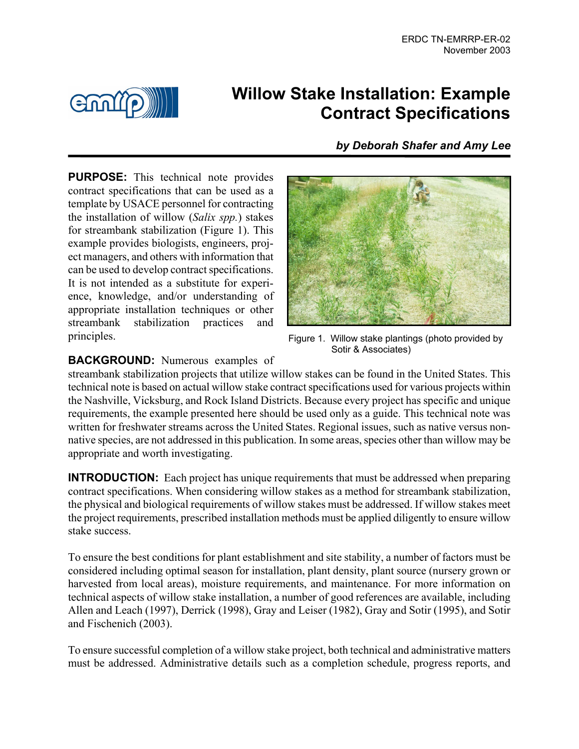

# **Willow Stake Installation: Example Contract Specifications**

*by Deborah Shafer and Amy Lee*

**PURPOSE:** This technical note provides contract specifications that can be used as a template by USACE personnel for contracting the installation of willow (*Salix spp.*) stakes for streambank stabilization (Figure 1). This example provides biologists, engineers, project managers, and others with information that can be used to develop contract specifications. It is not intended as a substitute for experience, knowledge, and/or understanding of appropriate installation techniques or other streambank stabilization practices and principles. The results of the Figure 1. Willow stake plantings (photo provided by



Sotir & Associates)

## **BACKGROUND:** Numerous examples of

streambank stabilization projects that utilize willow stakes can be found in the United States. This technical note is based on actual willow stake contract specifications used for various projects within the Nashville, Vicksburg, and Rock Island Districts. Because every project has specific and unique requirements, the example presented here should be used only as a guide. This technical note was written for freshwater streams across the United States. Regional issues, such as native versus nonnative species, are not addressed in this publication. In some areas, species other than willow may be appropriate and worth investigating.

**INTRODUCTION:** Each project has unique requirements that must be addressed when preparing contract specifications. When considering willow stakes as a method for streambank stabilization, the physical and biological requirements of willow stakes must be addressed. If willow stakes meet the project requirements, prescribed installation methods must be applied diligently to ensure willow stake success.

To ensure the best conditions for plant establishment and site stability, a number of factors must be considered including optimal season for installation, plant density, plant source (nursery grown or harvested from local areas), moisture requirements, and maintenance. For more information on technical aspects of willow stake installation, a number of good references are available, including Allen and Leach (1997), Derrick (1998), Gray and Leiser (1982), Gray and Sotir (1995), and Sotir and Fischenich (2003).

To ensure successful completion of a willow stake project, both technical and administrative matters must be addressed. Administrative details such as a completion schedule, progress reports, and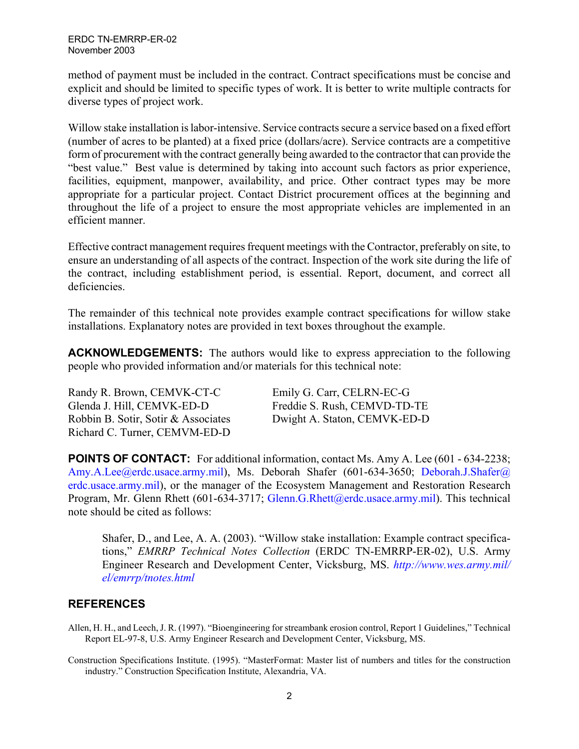method of payment must be included in the contract. Contract specifications must be concise and explicit and should be limited to specific types of work. It is better to write multiple contracts for diverse types of project work.

Willow stake installation is labor-intensive. Service contracts secure a service based on a fixed effort (number of acres to be planted) at a fixed price (dollars/acre). Service contracts are a competitive form of procurement with the contract generally being awarded to the contractor that can provide the "best value." Best value is determined by taking into account such factors as prior experience, facilities, equipment, manpower, availability, and price. Other contract types may be more appropriate for a particular project. Contact District procurement offices at the beginning and throughout the life of a project to ensure the most appropriate vehicles are implemented in an efficient manner.

Effective contract management requires frequent meetings with the Contractor, preferably on site, to ensure an understanding of all aspects of the contract. Inspection of the work site during the life of the contract, including establishment period, is essential. Report, document, and correct all deficiencies.

The remainder of this technical note provides example contract specifications for willow stake installations. Explanatory notes are provided in text boxes throughout the example.

**ACKNOWLEDGEMENTS:** The authors would like to express appreciation to the following people who provided information and/or materials for this technical note:

Randy R. Brown, CEMVK-CT-C Emily G. Carr, CELRN-EC-G Glenda J. Hill, CEMVK-ED-D Freddie S. Rush, CEMVD-TD-TE Robbin B. Sotir, Sotir & Associates Dwight A. Staton, CEMVK-ED-D Richard C. Turner, CEMVM-ED-D

**POINTS OF CONTACT:** For additional information, contact Ms. Amy A. Lee (601 - 634-2238; [Amy.A.Lee@erdc.usace.army.mil\)](mailto:Amy.A.Lee@erdc.usace.army.mil), Ms. Deborah Shafer (601-634-3650; [Deborah.J.Shafer@](mailto:Deborah.J.Shafer@erdc.usace.army.mil)  [erdc.usace.army.mil\)](mailto:Deborah.J.Shafer@erdc.usace.army.mil), or the manager of the Ecosystem Management and Restoration Research Program, Mr. Glenn Rhett (601-634-3717; [Glenn.G.Rhett@erdc.usace.army.mil\)](mailto:Glenn.G.Rhett@erdc.usace.army.mil). This technical note should be cited as follows:

Shafer, D., and Lee, A. A. (2003). "Willow stake installation: Example contract specifications," *EMRRP Technical Notes Collection* (ERDC TN-EMRRP-ER-02), U.S. Army Engineer Research and Development Center, Vicksburg, MS. *[http://www.wes.army.mil/](http://www.wes.army.mil/el/emrrp/tnotes.html)  [el/emrrp/tnotes.html](http://www.wes.army.mil/el/emrrp/tnotes.html)*

#### **REFERENCES**

Allen, H. H., and Leech, J. R. (1997). "Bioengineering for streambank erosion control, Report 1 Guidelines," Technical Report EL-97-8, U.S. Army Engineer Research and Development Center, Vicksburg, MS.

Construction Specifications Institute. (1995). "MasterFormat: Master list of numbers and titles for the construction industry." Construction Specification Institute, Alexandria, VA.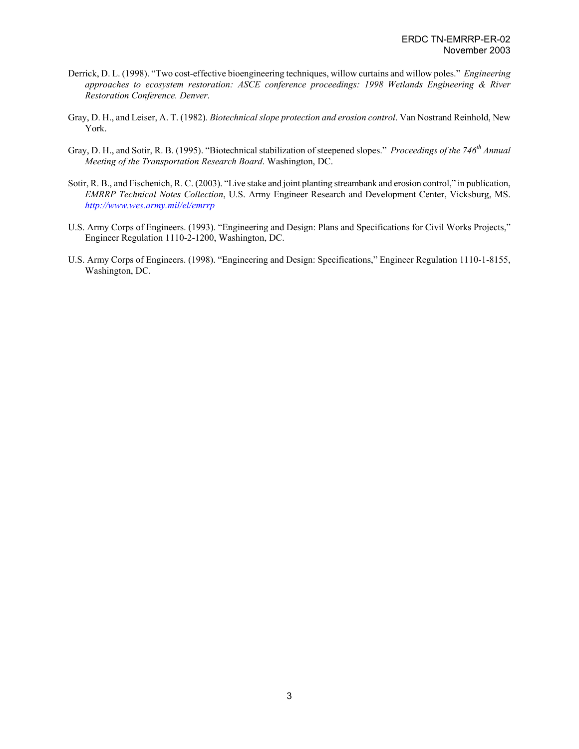- Derrick, D. L. (1998). "Two cost-effective bioengineering techniques, willow curtains and willow poles." *Engineering approaches to ecosystem restoration: ASCE conference proceedings: 1998 Wetlands Engineering & River Restoration Conference. Denver*.
- Gray, D. H., and Leiser, A. T. (1982). *Biotechnical slope protection and erosion control*. Van Nostrand Reinhold, New York.
- Gray, D. H., and Sotir, R. B. (1995). "Biotechnical stabilization of steepened slopes." *Proceedings of the 746<sup>th</sup> Annual Meeting of the Transportation Research Board*. Washington, DC.
- Sotir, R. B., and Fischenich, R. C. (2003). "Live stake and joint planting streambank and erosion control," in publication, *EMRRP Technical Notes Collection*, U.S. Army Engineer Research and Development Center, Vicksburg, MS. *<http://www.wes.army.mil/el/emrrp>*
- U.S. Army Corps of Engineers. (1993). "Engineering and Design: Plans and Specifications for Civil Works Projects," Engineer Regulation 1110-2-1200, Washington, DC.
- U.S. Army Corps of Engineers. (1998). "Engineering and Design: Specifications," Engineer Regulation 1110-1-8155, Washington, DC.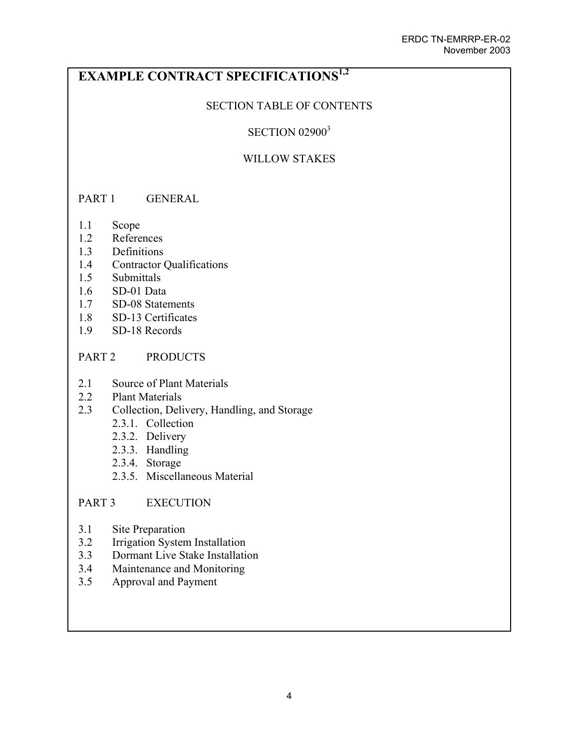# **EXAMPLE CONTRACT SPECIFICATIONS1,2**

## SECTION TABLE OF CONTENTS

## **SECTION 02900<sup>3</sup>**

## WILLOW STAKES

#### PART 1 GENERAL

- 1.1 Scope
- 1.2 References
- 1.3 Definitions
- 1.4 Contractor Qualifications
- 1.5 Submittals
- 1.6 SD-01 Data
- 1.7 SD-08 Statements
- 1.8 SD-13 Certificates
- 1.9 SD-18 Records

#### PART 2 PRODUCTS

- 2.1 Source of Plant Materials
- 2.2 Plant Materials
- 2.3 Collection, Delivery, Handling, and Storage
	- 2.3.1. Collection
	- 2.3.2. Delivery
	- 2.3.3. Handling
	- 2.3.4. Storage
	- 2.3.5. Miscellaneous Material

#### PART 3 EXECUTION

- 3.1 Site Preparation
- 3.2 Irrigation System Installation
- 3.3 Dormant Live Stake Installation
- 3.4 Maintenance and Monitoring
- 3.5 Approval and Payment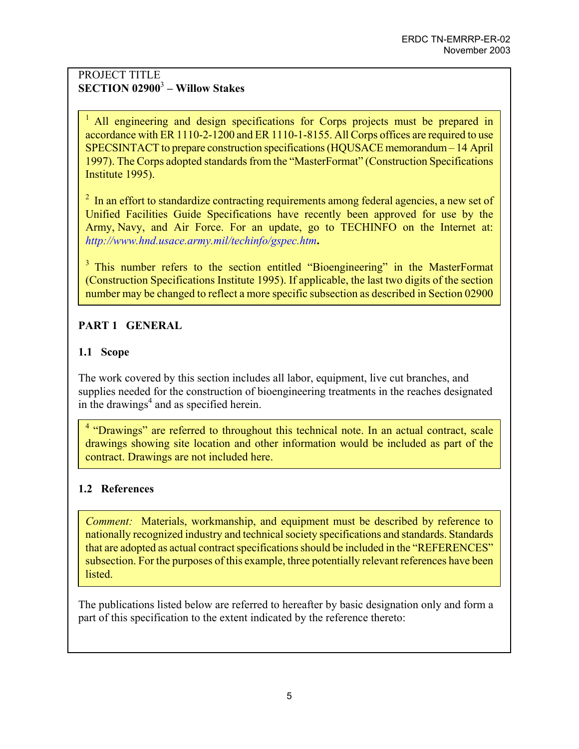## PROJECT TITLE **SECTION 02900**<sup>3</sup>  **– Willow Stakes**

<sup>1</sup> All engineering and design specifications for Corps projects must be prepared in accordance with ER 1110-2-1200 and ER 1110-1-8155. All Corps offices are required to use SPECSINTACT to prepare construction specifications (HQUSACE memorandum – 14 April 1997). The Corps adopted standards from the "MasterFormat" (Construction Specifications Institute 1995).

 $2\;\text{In an effort to standardize contracting requirements among federal agencies, a new set of }\frac{1}{2}\;\text{The same set of the two sequences are given by the following theorem.}$ Unified Facilities Guide Specifications have recently been approved for use by the Army, Navy, and Air Force. For an update, go to TECHINFO on the Internet at: *<http://www.hnd.usace.army.mil/techinfo/gspec.htm>***.** 

<sup>3</sup> This number refers to the section entitled "Bioengineering" in the MasterFormat (Construction Specifications Institute 1995). If applicable, the last two digits of the section number may be changed to reflect a more specific subsection as described in Section 02900

# **PART 1 GENERAL**

# **1.1 Scope**

The work covered by this section includes all labor, equipment, live cut branches, and supplies needed for the construction of bioengineering treatments in the reaches designated in the drawings<sup>4</sup> and as specified herein.

<sup>4</sup> "Drawings" are referred to throughout this technical note. In an actual contract, scale drawings showing site location and other information would be included as part of the contract. Drawings are not included here.

#### **1.2 References**

*Comment:* Materials, workmanship, and equipment must be described by reference to nationally recognized industry and technical society specifications and standards. Standards that are adopted as actual contract specifications should be included in the "REFERENCES" subsection. For the purposes of this example, three potentially relevant references have been listed.

The publications listed below are referred to hereafter by basic designation only and form a part of this specification to the extent indicated by the reference thereto: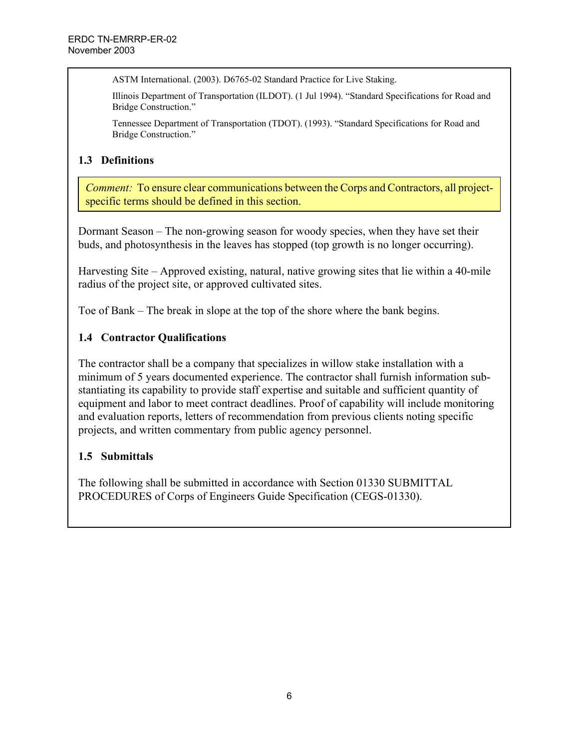ASTM International. (2003). D6765-02 Standard Practice for Live Staking.

Illinois Department of Transportation (ILDOT). (1 Jul 1994). "Standard Specifications for Road and Bridge Construction."

Tennessee Department of Transportation (TDOT). (1993). "Standard Specifications for Road and Bridge Construction."

#### **1.3 Definitions**

*Comment:* To ensure clear communications between the Corps and Contractors, all projectspecific terms should be defined in this section.

Dormant Season – The non-growing season for woody species, when they have set their buds, and photosynthesis in the leaves has stopped (top growth is no longer occurring).

Harvesting Site – Approved existing, natural, native growing sites that lie within a 40-mile radius of the project site, or approved cultivated sites.

Toe of Bank – The break in slope at the top of the shore where the bank begins.

## **1.4 Contractor Qualifications**

The contractor shall be a company that specializes in willow stake installation with a minimum of 5 years documented experience. The contractor shall furnish information substantiating its capability to provide staff expertise and suitable and sufficient quantity of equipment and labor to meet contract deadlines. Proof of capability will include monitoring and evaluation reports, letters of recommendation from previous clients noting specific projects, and written commentary from public agency personnel.

#### **1.5 Submittals**

The following shall be submitted in accordance with Section 01330 SUBMITTAL PROCEDURES of Corps of Engineers Guide Specification (CEGS-01330).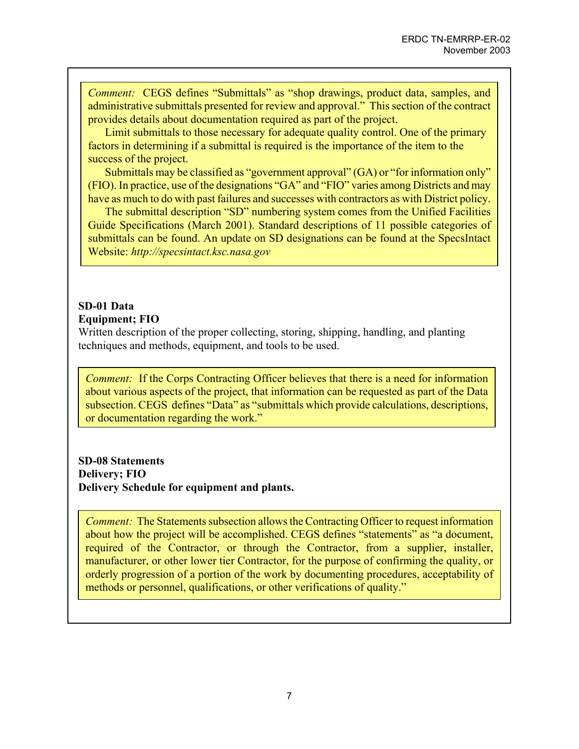*Comment:* CEGS defines "Submittals" as "shop drawings, product data, samples, and administrative submittals presented for review and approval." This section of the contract provides details about documentation required as part of the project.

 Limit submittals to those necessary for adequate quality control. One of the primary factors in determining if a submittal is required is the importance of the item to the success of the project.

Submittals may be classified as "government approval" (GA) or "for information only" (FIO). In practice, use of the designations "GA" and "FIO" varies among Districts and may have as much to do with past failures and successes with contractors as with District policy.

The submittal description "SD" numbering system comes from the Unified Facilities Guide Specifications (March 2001). Standard descriptions of 11 possible categories of submittals can be found. An update on SD designations can be found at the SpecsIntact Website: *http://specsintact.ksc.nasa.gov*

#### **SD-01 Data Equipment; FIO**

Written description of the proper collecting, storing, shipping, handling, and planting techniques and methods, equipment, and tools to be used.

*Comment:* If the Corps Contracting Officer believes that there is a need for information about various aspects of the project, that information can be requested as part of the Data subsection. CEGS defines "Data" as "submittals which provide calculations, descriptions, or documentation regarding the work."

**SD-08 Statements Delivery; FIO Delivery Schedule for equipment and plants.** 

*Comment:* The Statements subsection allows the Contracting Officer to request information about how the project will be accomplished. CEGS defines "statements" as "a document, required of the Contractor, or through the Contractor, from a supplier, installer, manufacturer, or other lower tier Contractor, for the purpose of confirming the quality, or orderly progression of a portion of the work by documenting procedures, acceptability of methods or personnel, qualifications, or other verifications of quality."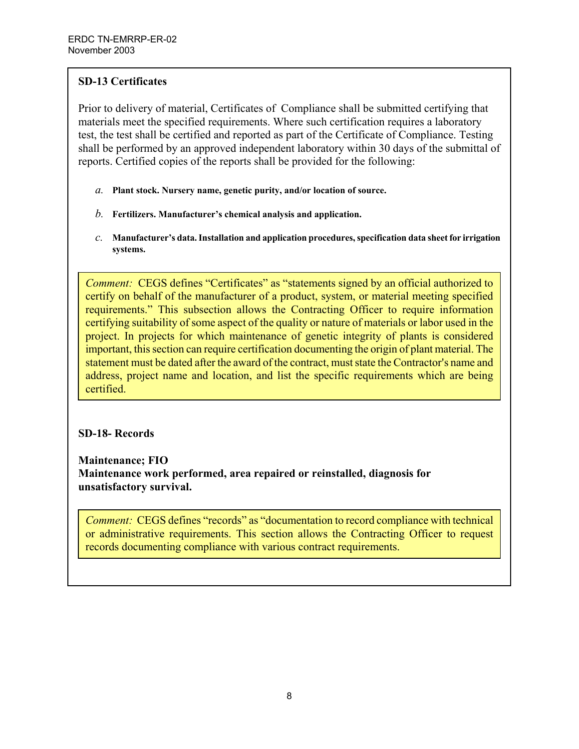## **SD-13 Certificates**

Prior to delivery of material, Certificates of Compliance shall be submitted certifying that materials meet the specified requirements. Where such certification requires a laboratory test, the test shall be certified and reported as part of the Certificate of Compliance. Testing shall be performed by an approved independent laboratory within 30 days of the submittal of reports. Certified copies of the reports shall be provided for the following:

- *a.* **Plant stock. Nursery name, genetic purity, and/or location of source.**
- *b.* **Fertilizers. Manufacturer's chemical analysis and application.**
- *c.* **Manufacturer's data. Installation and application procedures, specification data sheet for irrigation systems.**

*Comment:* CEGS defines "Certificates" as "statements signed by an official authorized to certify on behalf of the manufacturer of a product, system, or material meeting specified requirements." This subsection allows the Contracting Officer to require information certifying suitability of some aspect of the quality or nature of materials or labor used in the project. In projects for which maintenance of genetic integrity of plants is considered important, this section can require certification documenting the origin of plant material. The statement must be dated after the award of the contract, must state the Contractor's name and address, project name and location, and list the specific requirements which are being certified.

#### **SD-18- Records**

**Maintenance; FIO Maintenance work performed, area repaired or reinstalled, diagnosis for unsatisfactory survival.** 

*Comment:* CEGS defines "records" as "documentation to record compliance with technical or administrative requirements. This section allows the Contracting Officer to request records documenting compliance with various contract requirements.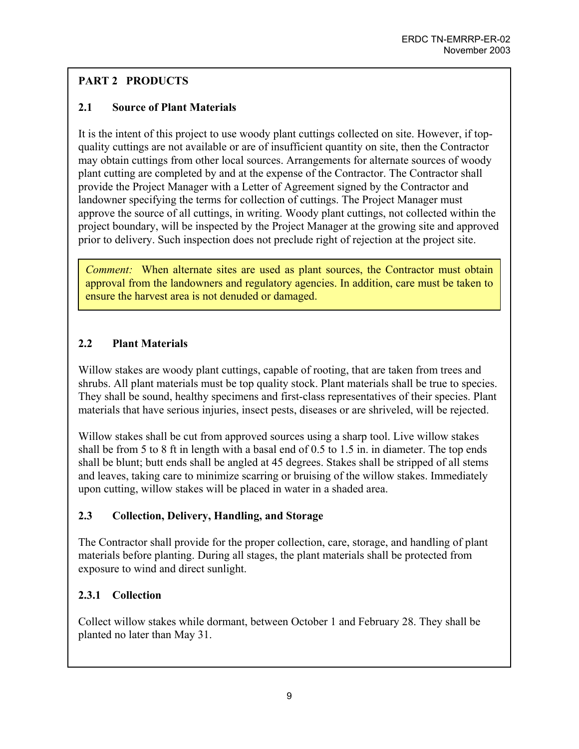# **PART 2 PRODUCTS**

# **2.1 Source of Plant Materials**

It is the intent of this project to use woody plant cuttings collected on site. However, if topquality cuttings are not available or are of insufficient quantity on site, then the Contractor may obtain cuttings from other local sources. Arrangements for alternate sources of woody plant cutting are completed by and at the expense of the Contractor. The Contractor shall provide the Project Manager with a Letter of Agreement signed by the Contractor and landowner specifying the terms for collection of cuttings. The Project Manager must approve the source of all cuttings, in writing. Woody plant cuttings, not collected within the project boundary, will be inspected by the Project Manager at the growing site and approved prior to delivery. Such inspection does not preclude right of rejection at the project site.

*Comment:* When alternate sites are used as plant sources, the Contractor must obtain approval from the landowners and regulatory agencies. In addition, care must be taken to ensure the harvest area is not denuded or damaged.

# **2.2 Plant Materials**

Willow stakes are woody plant cuttings, capable of rooting, that are taken from trees and shrubs. All plant materials must be top quality stock. Plant materials shall be true to species. They shall be sound, healthy specimens and first-class representatives of their species. Plant materials that have serious injuries, insect pests, diseases or are shriveled, will be rejected.

Willow stakes shall be cut from approved sources using a sharp tool. Live willow stakes shall be from 5 to 8 ft in length with a basal end of 0.5 to 1.5 in. in diameter. The top ends shall be blunt; butt ends shall be angled at 45 degrees. Stakes shall be stripped of all stems and leaves, taking care to minimize scarring or bruising of the willow stakes. Immediately upon cutting, willow stakes will be placed in water in a shaded area.

# **2.3 Collection, Delivery, Handling, and Storage**

The Contractor shall provide for the proper collection, care, storage, and handling of plant materials before planting. During all stages, the plant materials shall be protected from exposure to wind and direct sunlight.

# **2.3.1 Collection**

Collect willow stakes while dormant, between October 1 and February 28. They shall be planted no later than May 31.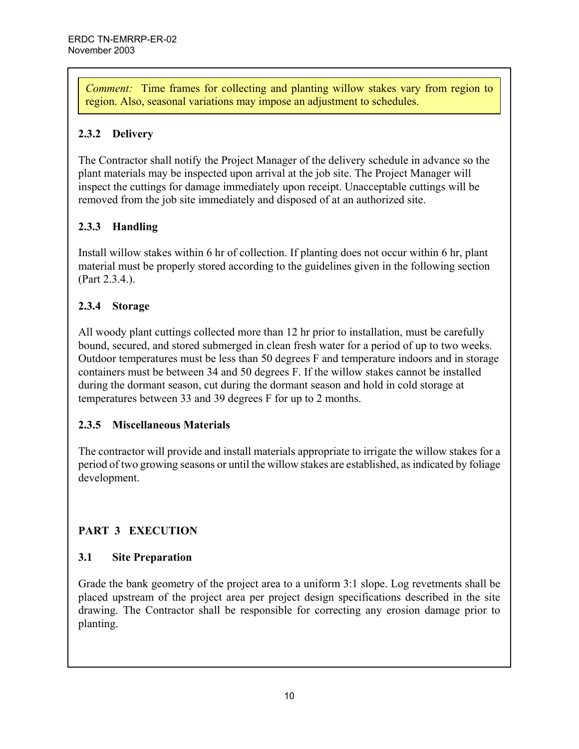*Comment:* Time frames for collecting and planting willow stakes vary from region to region. Also, seasonal variations may impose an adjustment to schedules.

# **2.3.2 Delivery**

The Contractor shall notify the Project Manager of the delivery schedule in advance so the plant materials may be inspected upon arrival at the job site. The Project Manager will inspect the cuttings for damage immediately upon receipt. Unacceptable cuttings will be removed from the job site immediately and disposed of at an authorized site.

# **2.3.3 Handling**

Install willow stakes within 6 hr of collection. If planting does not occur within 6 hr, plant material must be properly stored according to the guidelines given in the following section (Part 2.3.4.).

# **2.3.4 Storage**

All woody plant cuttings collected more than 12 hr prior to installation, must be carefully bound, secured, and stored submerged in clean fresh water for a period of up to two weeks. Outdoor temperatures must be less than 50 degrees F and temperature indoors and in storage containers must be between 34 and 50 degrees F. If the willow stakes cannot be installed during the dormant season, cut during the dormant season and hold in cold storage at temperatures between 33 and 39 degrees F for up to 2 months.

# **2.3.5 Miscellaneous Materials**

The contractor will provide and install materials appropriate to irrigate the willow stakes for a period of two growing seasons or until the willow stakes are established, as indicated by foliage development.

# **PART 3 EXECUTION**

# **3.1 Site Preparation**

Grade the bank geometry of the project area to a uniform 3:1 slope. Log revetments shall be placed upstream of the project area per project design specifications described in the site drawing. The Contractor shall be responsible for correcting any erosion damage prior to planting.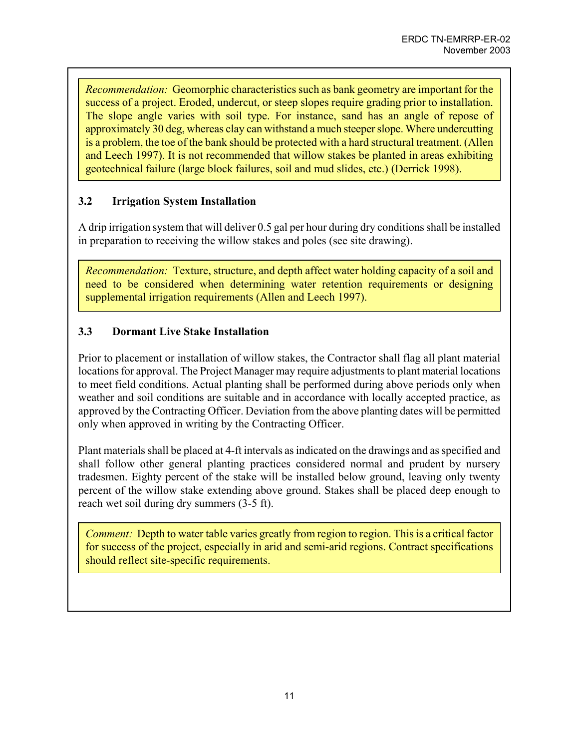*Recommendation:* Geomorphic characteristics such as bank geometry are important for the success of a project. Eroded, undercut, or steep slopes require grading prior to installation. The slope angle varies with soil type. For instance, sand has an angle of repose of approximately 30 deg, whereas clay can withstand a much steeper slope. Where undercutting is a problem, the toe of the bank should be protected with a hard structural treatment. (Allen and Leech 1997). It is not recommended that willow stakes be planted in areas exhibiting geotechnical failure (large block failures, soil and mud slides, etc.) (Derrick 1998).

## **3.2 Irrigation System Installation**

A drip irrigation system that will deliver 0.5 gal per hour during dry conditions shall be installed in preparation to receiving the willow stakes and poles (see site drawing).

*Recommendation:* Texture, structure, and depth affect water holding capacity of a soil and need to be considered when determining water retention requirements or designing supplemental irrigation requirements (Allen and Leech 1997).

## **3.3 Dormant Live Stake Installation**

Prior to placement or installation of willow stakes, the Contractor shall flag all plant material locations for approval. The Project Manager may require adjustments to plant material locations to meet field conditions. Actual planting shall be performed during above periods only when weather and soil conditions are suitable and in accordance with locally accepted practice, as approved by the Contracting Officer. Deviation from the above planting dates will be permitted only when approved in writing by the Contracting Officer.

Plant materials shall be placed at 4-ft intervals as indicated on the drawings and as specified and shall follow other general planting practices considered normal and prudent by nursery tradesmen. Eighty percent of the stake will be installed below ground, leaving only twenty percent of the willow stake extending above ground. Stakes shall be placed deep enough to reach wet soil during dry summers (3-5 ft).

*Comment:* Depth to water table varies greatly from region to region. This is a critical factor for success of the project, especially in arid and semi-arid regions. Contract specifications should reflect site-specific requirements.